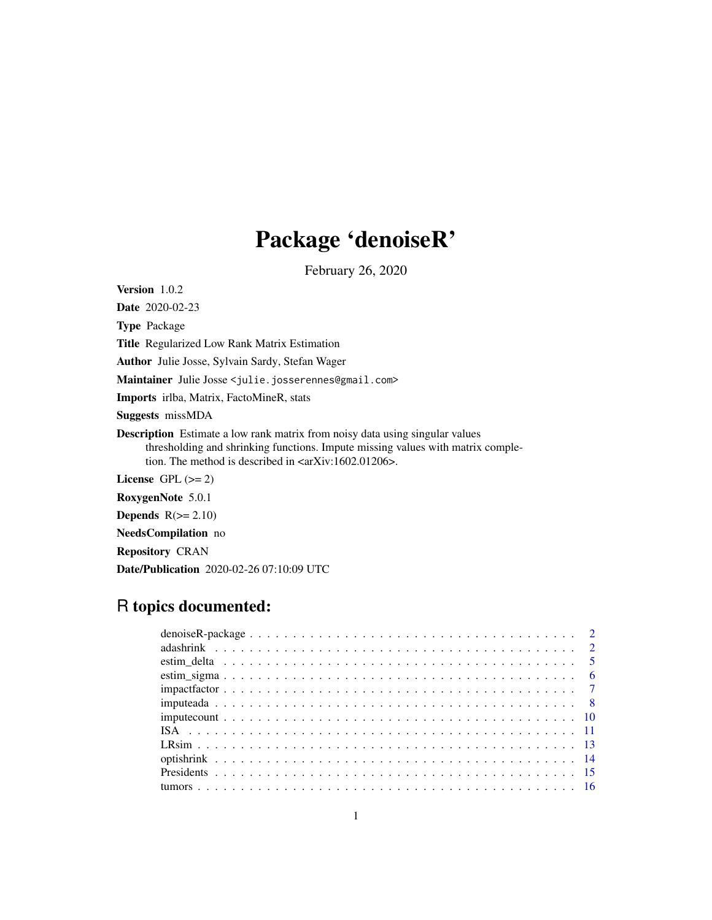# Package 'denoiseR'

February 26, 2020

<span id="page-0-0"></span>Version 1.0.2

Date 2020-02-23

Type Package

Title Regularized Low Rank Matrix Estimation

Author Julie Josse, Sylvain Sardy, Stefan Wager

Maintainer Julie Josse <julie.josserennes@gmail.com>

Imports irlba, Matrix, FactoMineR, stats

Suggests missMDA

Description Estimate a low rank matrix from noisy data using singular values thresholding and shrinking functions. Impute missing values with matrix completion. The method is described in  $\langle \text{arXiv:1602.01206} \rangle$ .

License GPL  $(>= 2)$ 

RoxygenNote 5.0.1

Depends  $R(>= 2.10)$ 

NeedsCompilation no

Repository CRAN

Date/Publication 2020-02-26 07:10:09 UTC

# R topics documented: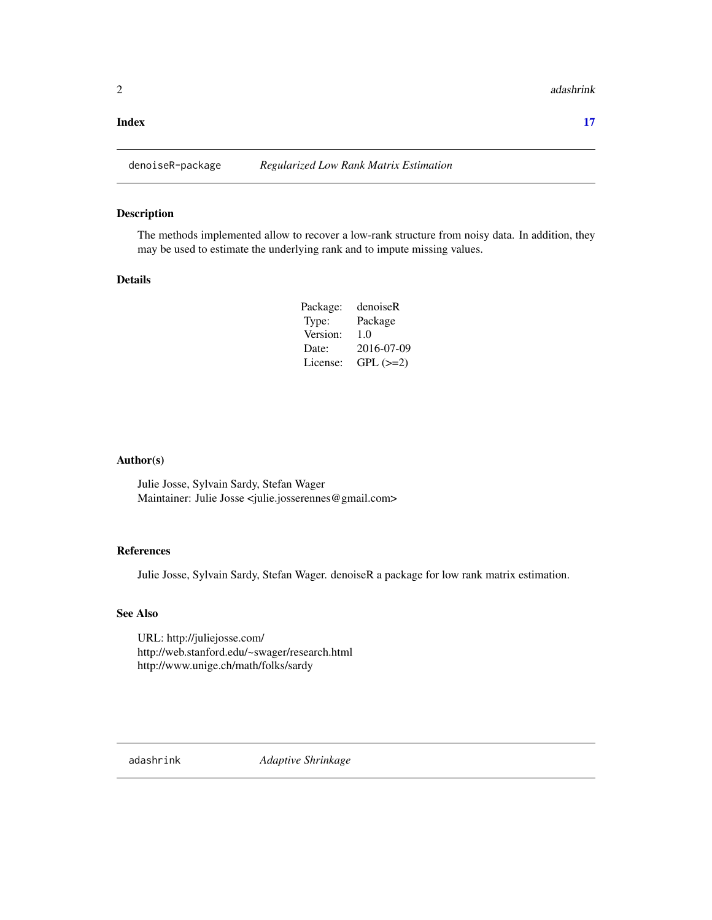#### <span id="page-1-0"></span>**Index** [17](#page-16-0)

# Description

The methods implemented allow to recover a low-rank structure from noisy data. In addition, they may be used to estimate the underlying rank and to impute missing values.

# Details

| Package: | denoiseR   |
|----------|------------|
| Type:    | Package    |
| Version: | 1.0        |
| Date:    | 2016-07-09 |
| License: | $GPL (=2)$ |

### Author(s)

Julie Josse, Sylvain Sardy, Stefan Wager Maintainer: Julie Josse <julie.josserennes@gmail.com>

# References

Julie Josse, Sylvain Sardy, Stefan Wager. denoiseR a package for low rank matrix estimation.

# See Also

URL: http://juliejosse.com/ http://web.stanford.edu/~swager/research.html http://www.unige.ch/math/folks/sardy

<span id="page-1-1"></span>adashrink *Adaptive Shrinkage*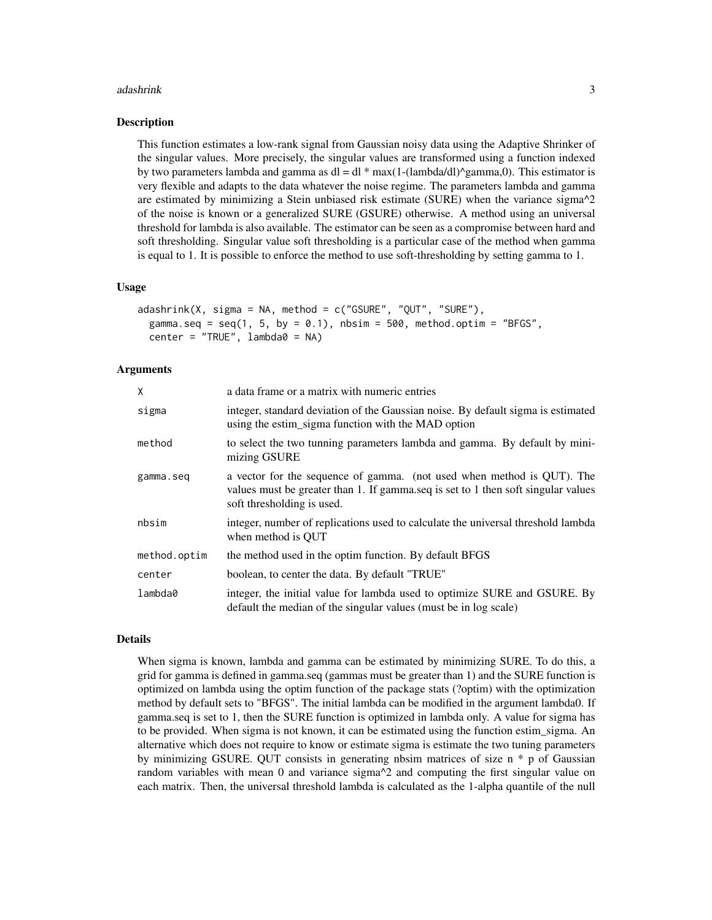#### adashrink 3

#### Description

This function estimates a low-rank signal from Gaussian noisy data using the Adaptive Shrinker of the singular values. More precisely, the singular values are transformed using a function indexed by two parameters lambda and gamma as  $dl = dl * max(1-(lambda/d))^\alpha$ gamma,0). This estimator is very flexible and adapts to the data whatever the noise regime. The parameters lambda and gamma are estimated by minimizing a Stein unbiased risk estimate (SURE) when the variance sigma $^2$ of the noise is known or a generalized SURE (GSURE) otherwise. A method using an universal threshold for lambda is also available. The estimator can be seen as a compromise between hard and soft thresholding. Singular value soft thresholding is a particular case of the method when gamma is equal to 1. It is possible to enforce the method to use soft-thresholding by setting gamma to 1.

#### Usage

```
adashrink(X, sigma = NA, method = c("GSURE", "OUT", "SURE"),gamma.seq = seq(1, 5, by = 0.1), nbsim = 500, method.optim = "BFGS",center = "TRUE", lambda = NA)
```
## Arguments

| X            | a data frame or a matrix with numeric entries                                                                                                                                             |
|--------------|-------------------------------------------------------------------------------------------------------------------------------------------------------------------------------------------|
| sigma        | integer, standard deviation of the Gaussian noise. By default sigma is estimated<br>using the estim_sigma function with the MAD option                                                    |
| method       | to select the two tunning parameters lambda and gamma. By default by mini-<br>mizing GSURE                                                                                                |
| gamma.seq    | a vector for the sequence of gamma. (not used when method is QUT). The<br>values must be greater than 1. If gamma.seq is set to 1 then soft singular values<br>soft thresholding is used. |
| nbsim        | integer, number of replications used to calculate the universal threshold lambda<br>when method is OUT                                                                                    |
| method.optim | the method used in the optim function. By default BFGS                                                                                                                                    |
| center       | boolean, to center the data. By default "TRUE"                                                                                                                                            |
| lambda0      | integer, the initial value for lambda used to optimize SURE and GSURE. By<br>default the median of the singular values (must be in log scale)                                             |

# Details

When sigma is known, lambda and gamma can be estimated by minimizing SURE. To do this, a grid for gamma is defined in gamma.seq (gammas must be greater than 1) and the SURE function is optimized on lambda using the optim function of the package stats (?optim) with the optimization method by default sets to "BFGS". The initial lambda can be modified in the argument lambda0. If gamma.seq is set to 1, then the SURE function is optimized in lambda only. A value for sigma has to be provided. When sigma is not known, it can be estimated using the function estim\_sigma. An alternative which does not require to know or estimate sigma is estimate the two tuning parameters by minimizing GSURE. QUT consists in generating nbsim matrices of size n \* p of Gaussian random variables with mean  $0$  and variance sigma $\gamma$  and computing the first singular value on each matrix. Then, the universal threshold lambda is calculated as the 1-alpha quantile of the null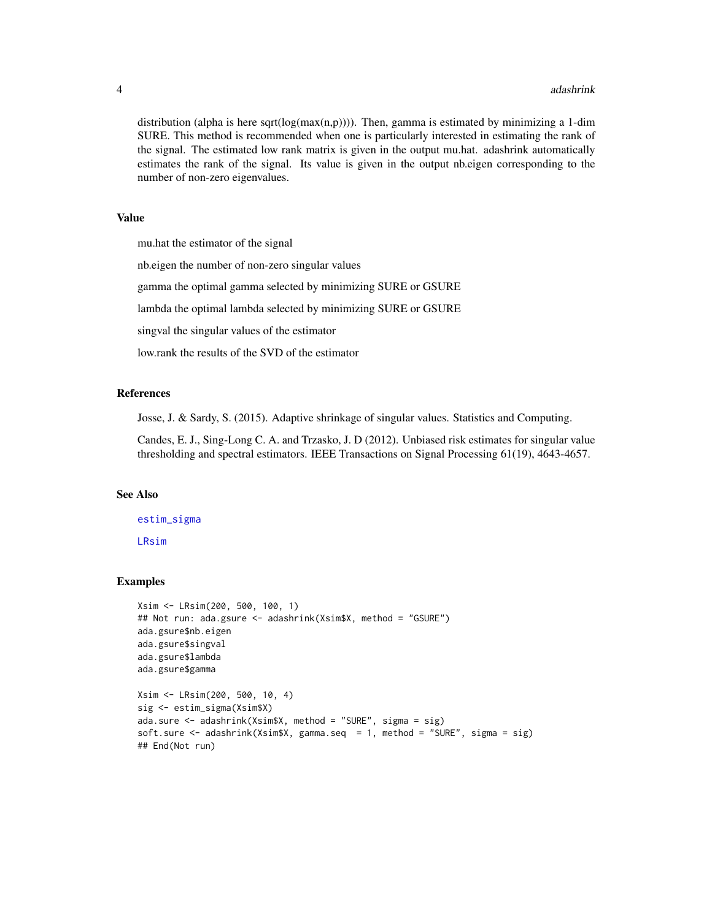distribution (alpha is here sqrt( $log(max(n,p)))$ ). Then, gamma is estimated by minimizing a 1-dim SURE. This method is recommended when one is particularly interested in estimating the rank of the signal. The estimated low rank matrix is given in the output mu.hat. adashrink automatically estimates the rank of the signal. Its value is given in the output nb.eigen corresponding to the number of non-zero eigenvalues.

#### Value

mu.hat the estimator of the signal nb.eigen the number of non-zero singular values gamma the optimal gamma selected by minimizing SURE or GSURE lambda the optimal lambda selected by minimizing SURE or GSURE singval the singular values of the estimator low.rank the results of the SVD of the estimator

#### **References**

Josse, J. & Sardy, S. (2015). Adaptive shrinkage of singular values. Statistics and Computing.

Candes, E. J., Sing-Long C. A. and Trzasko, J. D (2012). Unbiased risk estimates for singular value thresholding and spectral estimators. IEEE Transactions on Signal Processing 61(19), 4643-4657.

# See Also

[estim\\_sigma](#page-5-1) [LRsim](#page-12-1)

#### Examples

```
Xsim <- LRsim(200, 500, 100, 1)
## Not run: ada.gsure <- adashrink(Xsim$X, method = "GSURE")
ada.gsure$nb.eigen
ada.gsure$singval
ada.gsure$lambda
ada.gsure$gamma
Xsim <- LRsim(200, 500, 10, 4)
sig <- estim_sigma(Xsim$X)
ada.sure <- adashrink(Xsim$X, method = "SURE", sigma = sig)
soft.sure <- adashrink(Xsim$X, gamma.seq = 1, method = "SURE", sigma = sig)
## End(Not run)
```
<span id="page-3-0"></span>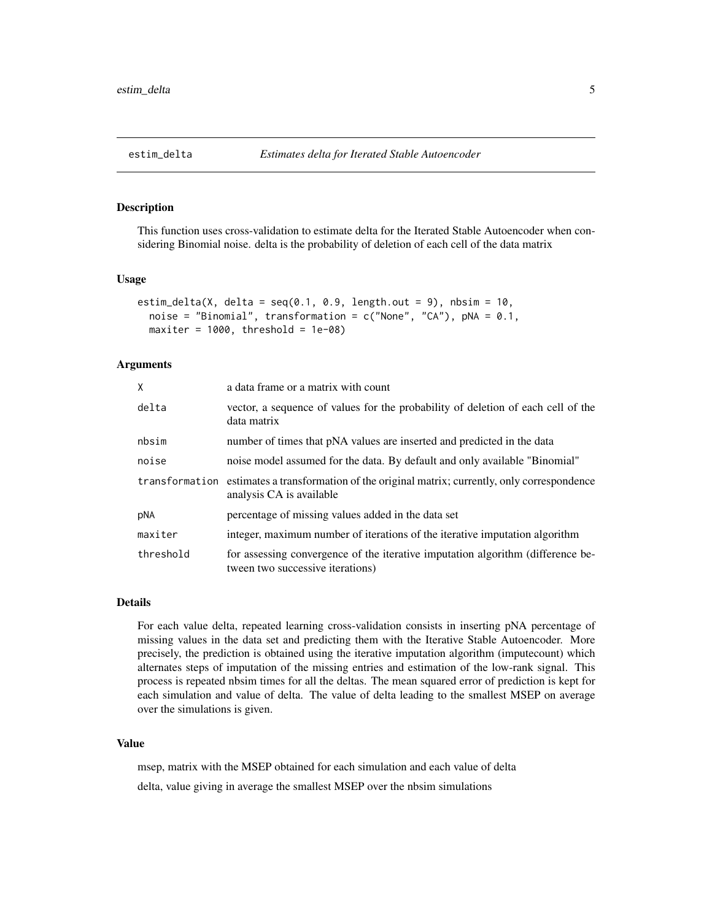#### <span id="page-4-0"></span>Description

This function uses cross-validation to estimate delta for the Iterated Stable Autoencoder when considering Binomial noise. delta is the probability of deletion of each cell of the data matrix

#### Usage

```
estim_delta(X, delta = seq(0.1, 0.9, length.out = 9), nbsim = 10,
 noise = "Binomial", transformation = c("None", "CA"), pNA = 0.1,
 maxiter = 1000, threshold = 1e-08)
```
# Arguments

| X         | a data frame or a matrix with count                                                                                          |
|-----------|------------------------------------------------------------------------------------------------------------------------------|
| delta     | vector, a sequence of values for the probability of deletion of each cell of the<br>data matrix                              |
| nbsim     | number of times that pNA values are inserted and predicted in the data                                                       |
| noise     | noise model assumed for the data. By default and only available "Binomial"                                                   |
|           | transformation estimates a transformation of the original matrix; currently, only correspondence<br>analysis CA is available |
| pNA       | percentage of missing values added in the data set                                                                           |
| maxiter   | integer, maximum number of iterations of the iterative imputation algorithm                                                  |
| threshold | for assessing convergence of the iterative imputation algorithm (difference be-<br>tween two successive iterations)          |

#### Details

For each value delta, repeated learning cross-validation consists in inserting pNA percentage of missing values in the data set and predicting them with the Iterative Stable Autoencoder. More precisely, the prediction is obtained using the iterative imputation algorithm (imputecount) which alternates steps of imputation of the missing entries and estimation of the low-rank signal. This process is repeated nbsim times for all the deltas. The mean squared error of prediction is kept for each simulation and value of delta. The value of delta leading to the smallest MSEP on average over the simulations is given.

## Value

msep, matrix with the MSEP obtained for each simulation and each value of delta delta, value giving in average the smallest MSEP over the nbsim simulations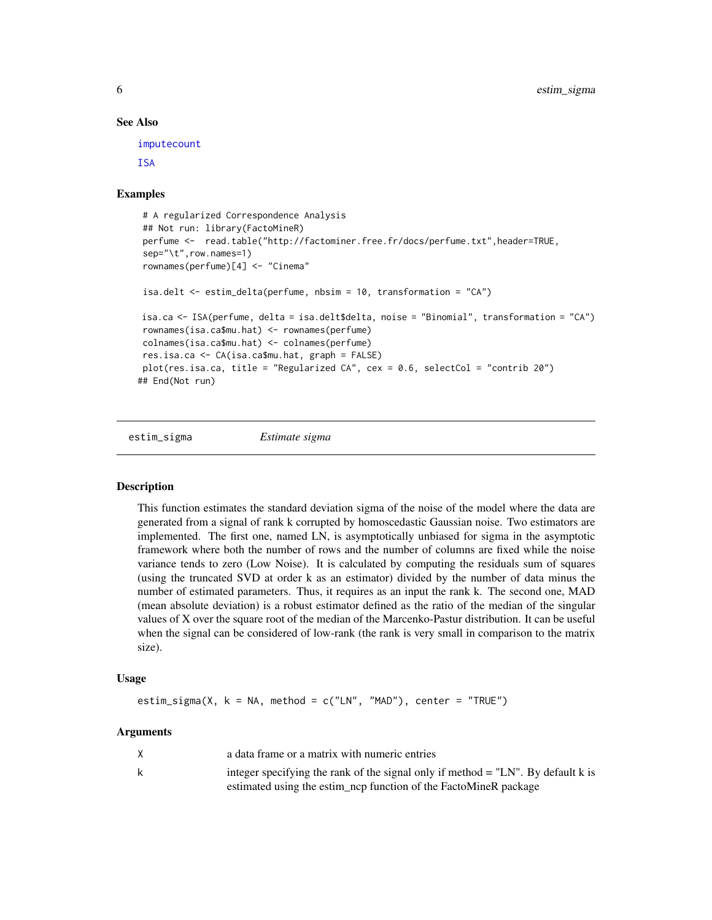#### See Also

[imputecount](#page-9-1)

**[ISA](#page-10-1)** 

# Examples

```
# A regularized Correspondence Analysis
## Not run: library(FactoMineR)
perfume <- read.table("http://factominer.free.fr/docs/perfume.txt",header=TRUE,
sep="\t",row.names=1)
rownames(perfume)[4] <- "Cinema"
isa.delt <- estim_delta(perfume, nbsim = 10, transformation = "CA")
isa.ca <- ISA(perfume, delta = isa.delt$delta, noise = "Binomial", transformation = "CA")
rownames(isa.ca$mu.hat) <- rownames(perfume)
colnames(isa.ca$mu.hat) <- colnames(perfume)
res.isa.ca <- CA(isa.ca$mu.hat, graph = FALSE)
plot(res.isa.ca, title = "Regularized CA", cex = 0.6, selectCol = "contrib 20")
## End(Not run)
```
<span id="page-5-1"></span>estim\_sigma *Estimate sigma*

#### Description

This function estimates the standard deviation sigma of the noise of the model where the data are generated from a signal of rank k corrupted by homoscedastic Gaussian noise. Two estimators are implemented. The first one, named LN, is asymptotically unbiased for sigma in the asymptotic framework where both the number of rows and the number of columns are fixed while the noise variance tends to zero (Low Noise). It is calculated by computing the residuals sum of squares (using the truncated SVD at order k as an estimator) divided by the number of data minus the number of estimated parameters. Thus, it requires as an input the rank k. The second one, MAD (mean absolute deviation) is a robust estimator defined as the ratio of the median of the singular values of X over the square root of the median of the Marcenko-Pastur distribution. It can be useful when the signal can be considered of low-rank (the rank is very small in comparison to the matrix size).

#### Usage

```
estim_sigma(X, k = NA, method = c("LN", "MAD"), center = "TRUE")
```
#### Arguments

|   | a data frame or a matrix with numeric entries                                      |
|---|------------------------------------------------------------------------------------|
| k | integer specifying the rank of the signal only if method $=$ "LN". By default k is |
|   | estimated using the estim_ncp function of the FactoMineR package                   |

<span id="page-5-0"></span>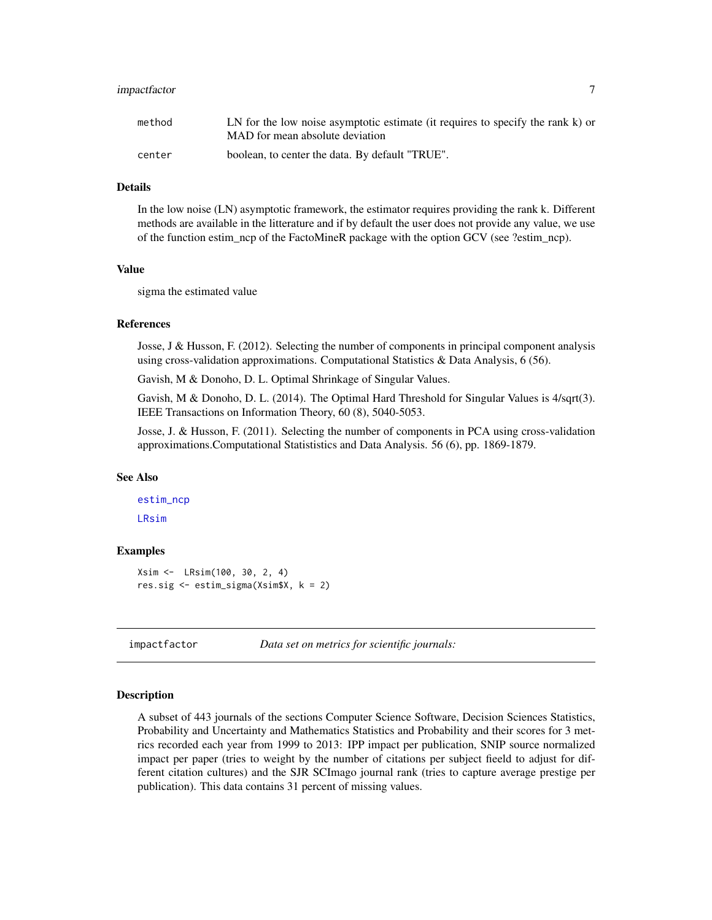# <span id="page-6-0"></span>impactfactor 7

| method | LN for the low noise asymptotic estimate (it requires to specify the rank k) or<br>MAD for mean absolute deviation |
|--------|--------------------------------------------------------------------------------------------------------------------|
| center | boolean, to center the data. By default "TRUE".                                                                    |

#### Details

In the low noise (LN) asymptotic framework, the estimator requires providing the rank k. Different methods are available in the litterature and if by default the user does not provide any value, we use of the function estim\_ncp of the FactoMineR package with the option GCV (see ?estim\_ncp).

#### Value

sigma the estimated value

#### References

Josse, J & Husson, F. (2012). Selecting the number of components in principal component analysis using cross-validation approximations. Computational Statistics & Data Analysis, 6 (56).

Gavish, M & Donoho, D. L. Optimal Shrinkage of Singular Values.

Gavish, M & Donoho, D. L. (2014). The Optimal Hard Threshold for Singular Values is 4/sqrt(3). IEEE Transactions on Information Theory, 60 (8), 5040-5053.

Josse, J. & Husson, F. (2011). Selecting the number of components in PCA using cross-validation approximations.Computational Statististics and Data Analysis. 56 (6), pp. 1869-1879.

#### See Also

```
estim_ncp
LRsim
```
# Examples

```
Xsim <- LRsim(100, 30, 2, 4)
res.sig <- estim_sigma(Xsim$X, k = 2)
```
impactfactor *Data set on metrics for scientific journals:*

#### **Description**

A subset of 443 journals of the sections Computer Science Software, Decision Sciences Statistics, Probability and Uncertainty and Mathematics Statistics and Probability and their scores for 3 metrics recorded each year from 1999 to 2013: IPP impact per publication, SNIP source normalized impact per paper (tries to weight by the number of citations per subject fieeld to adjust for different citation cultures) and the SJR SCImago journal rank (tries to capture average prestige per publication). This data contains 31 percent of missing values.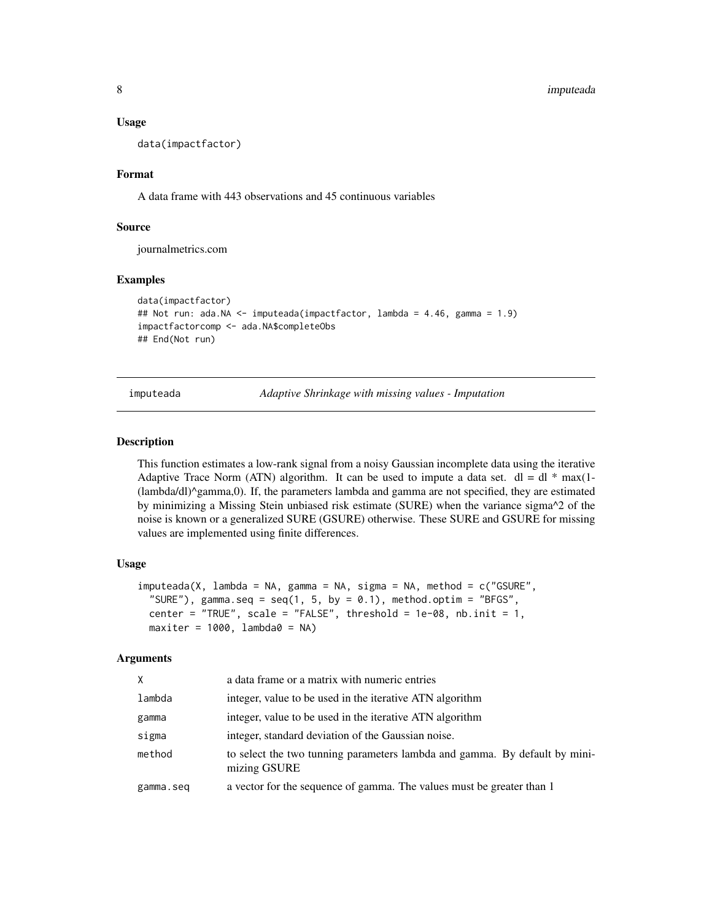#### <span id="page-7-0"></span>Usage

data(impactfactor)

#### Format

A data frame with 443 observations and 45 continuous variables

# Source

journalmetrics.com

#### Examples

```
data(impactfactor)
## Not run: ada.NA <- imputeada(impactfactor, lambda = 4.46, gamma = 1.9)
impactfactorcomp <- ada.NA$completeObs
## End(Not run)
```
imputeada *Adaptive Shrinkage with missing values - Imputation*

# Description

This function estimates a low-rank signal from a noisy Gaussian incomplete data using the iterative Adaptive Trace Norm (ATN) algorithm. It can be used to impute a data set.  $dl = dl * max(l - l)$ (lambda/dl)^gamma,0). If, the parameters lambda and gamma are not specified, they are estimated by minimizing a Missing Stein unbiased risk estimate (SURE) when the variance sigma^2 of the noise is known or a generalized SURE (GSURE) otherwise. These SURE and GSURE for missing values are implemented using finite differences.

#### Usage

```
imputeada(X, lambda = NA, gamma = NA, sigma = NA, method = c("GSURE",
 "SURE"), gamma.seq = seq(1, 5, by = 0.1), method.optim = "BFGS",
 center = "TRUE", scale = "FALSE", threshold = 1e-08, nb.init = 1,
 maxiter = 1000, lambda0 = NA)
```
#### Arguments

| X         | a data frame or a matrix with numeric entries                                              |
|-----------|--------------------------------------------------------------------------------------------|
| lambda    | integer, value to be used in the iterative ATN algorithm                                   |
| gamma     | integer, value to be used in the iterative ATN algorithm                                   |
| sigma     | integer, standard deviation of the Gaussian noise.                                         |
| method    | to select the two tunning parameters lambda and gamma. By default by mini-<br>mizing GSURE |
| gamma.seq | a vector for the sequence of gamma. The values must be greater than 1                      |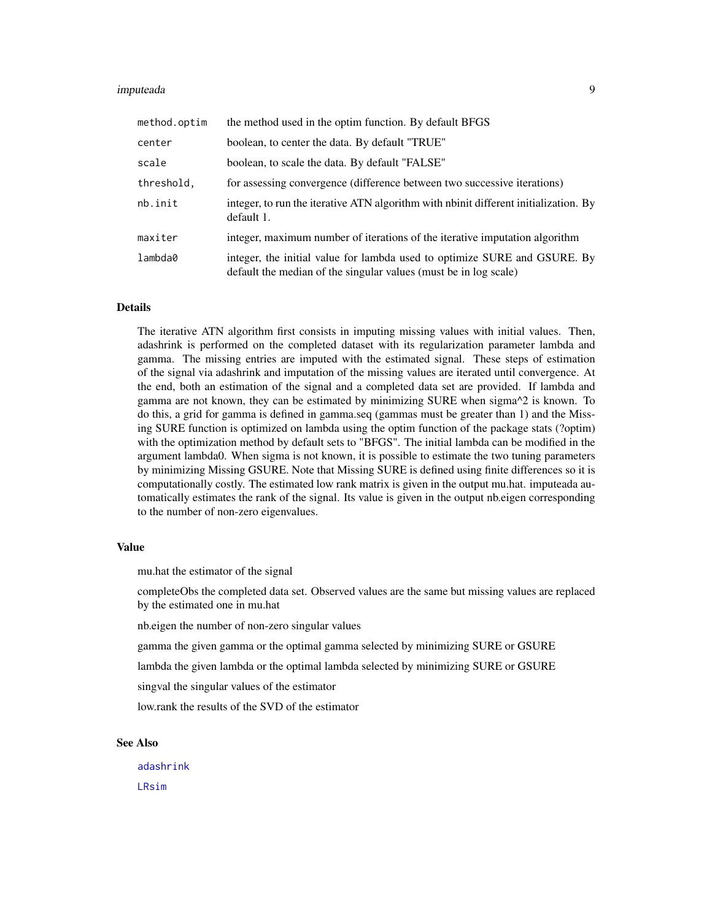#### <span id="page-8-0"></span>imputeada 9

| method.optim | the method used in the optim function. By default BFGS                                                                                        |
|--------------|-----------------------------------------------------------------------------------------------------------------------------------------------|
| center       | boolean, to center the data. By default "TRUE"                                                                                                |
| scale        | boolean, to scale the data. By default "FALSE"                                                                                                |
| threshold,   | for assessing convergence (difference between two successive iterations)                                                                      |
| nb.init      | integer, to run the iterative ATN algorithm with not different initialization. By<br>default 1.                                               |
| maxiter      | integer, maximum number of iterations of the iterative imputation algorithm                                                                   |
| lambda0      | integer, the initial value for lambda used to optimize SURE and GSURE. By<br>default the median of the singular values (must be in log scale) |

# Details

The iterative ATN algorithm first consists in imputing missing values with initial values. Then, adashrink is performed on the completed dataset with its regularization parameter lambda and gamma. The missing entries are imputed with the estimated signal. These steps of estimation of the signal via adashrink and imputation of the missing values are iterated until convergence. At the end, both an estimation of the signal and a completed data set are provided. If lambda and gamma are not known, they can be estimated by minimizing SURE when sigma^2 is known. To do this, a grid for gamma is defined in gamma.seq (gammas must be greater than 1) and the Missing SURE function is optimized on lambda using the optim function of the package stats (?optim) with the optimization method by default sets to "BFGS". The initial lambda can be modified in the argument lambda0. When sigma is not known, it is possible to estimate the two tuning parameters by minimizing Missing GSURE. Note that Missing SURE is defined using finite differences so it is computationally costly. The estimated low rank matrix is given in the output mu.hat. imputeada automatically estimates the rank of the signal. Its value is given in the output nb.eigen corresponding to the number of non-zero eigenvalues.

# Value

mu.hat the estimator of the signal

completeObs the completed data set. Observed values are the same but missing values are replaced by the estimated one in mu.hat

nb.eigen the number of non-zero singular values

gamma the given gamma or the optimal gamma selected by minimizing SURE or GSURE

lambda the given lambda or the optimal lambda selected by minimizing SURE or GSURE

singval the singular values of the estimator

low.rank the results of the SVD of the estimator

# See Also

[adashrink](#page-1-1) [LRsim](#page-12-1)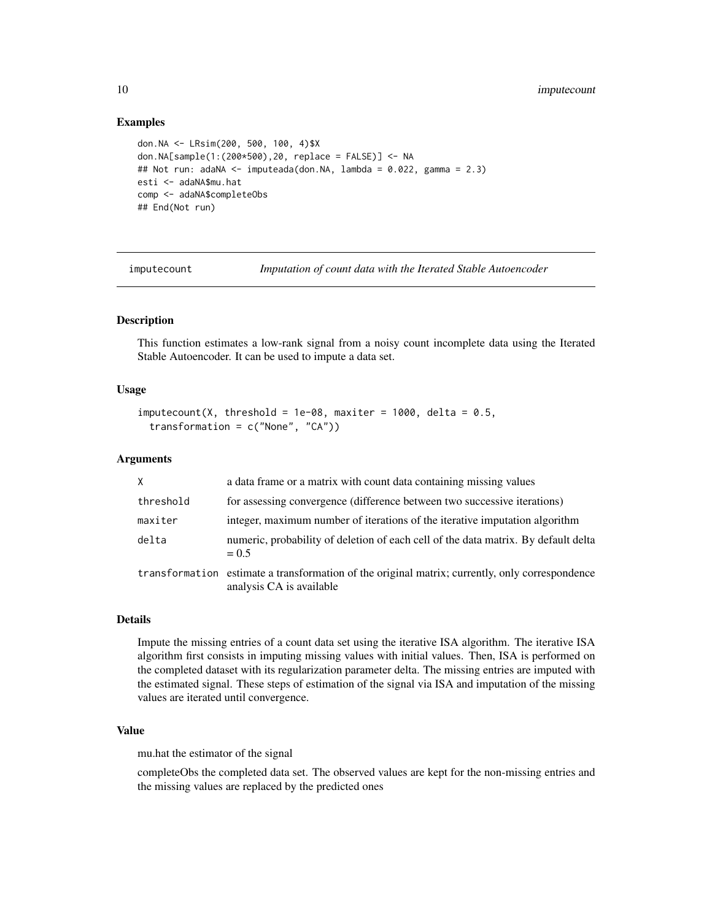# <span id="page-9-0"></span>Examples

```
don.NA <- LRsim(200, 500, 100, 4)$X
don.NA[sample(1:(200*500),20, replace = FALSE)] <- NA
## Not run: adaNA <- imputeada(don.NA, lambda = 0.022, gamma = 2.3)
esti <- adaNA$mu.hat
comp <- adaNA$completeObs
## End(Not run)
```
<span id="page-9-1"></span>imputecount *Imputation of count data with the Iterated Stable Autoencoder*

# **Description**

This function estimates a low-rank signal from a noisy count incomplete data using the Iterated Stable Autoencoder. It can be used to impute a data set.

# Usage

```
imputecount(X, threshold = 1e-08, maxiter = 1000, delta = 0.5,transformation = c("None", "CA"))
```
#### Arguments

| $\times$  | a data frame or a matrix with count data containing missing values                                                          |
|-----------|-----------------------------------------------------------------------------------------------------------------------------|
| threshold | for assessing convergence (difference between two successive iterations)                                                    |
| maxiter   | integer, maximum number of iterations of the iterative imputation algorithm                                                 |
| delta     | numeric, probability of deletion of each cell of the data matrix. By default delta<br>$= 0.5$                               |
|           | transformation estimate a transformation of the original matrix; currently, only correspondence<br>analysis CA is available |

# Details

Impute the missing entries of a count data set using the iterative ISA algorithm. The iterative ISA algorithm first consists in imputing missing values with initial values. Then, ISA is performed on the completed dataset with its regularization parameter delta. The missing entries are imputed with the estimated signal. These steps of estimation of the signal via ISA and imputation of the missing values are iterated until convergence.

# Value

mu.hat the estimator of the signal

completeObs the completed data set. The observed values are kept for the non-missing entries and the missing values are replaced by the predicted ones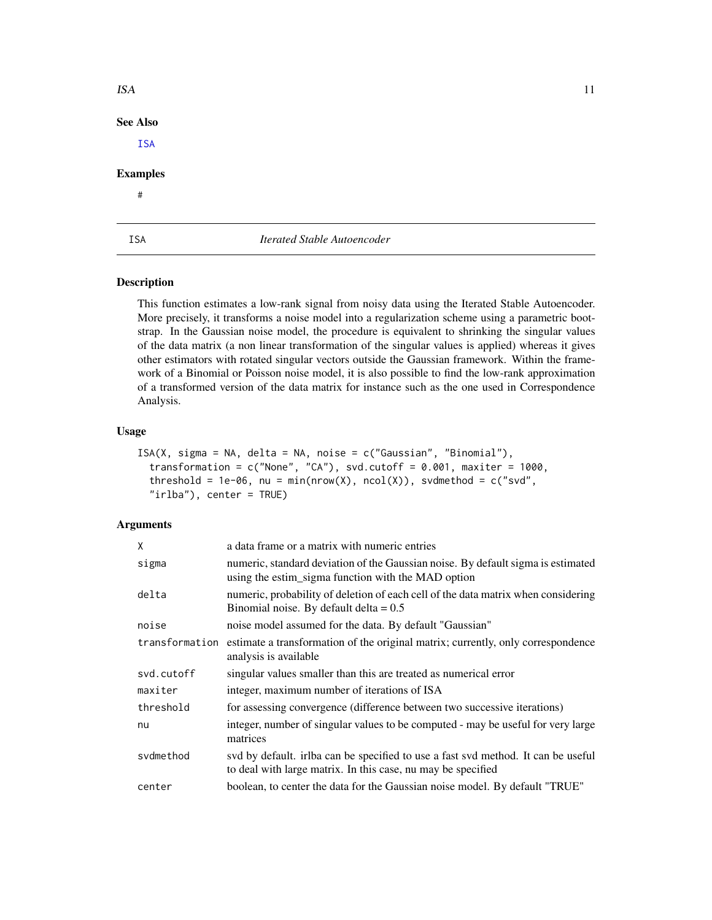| <b>ISA</b>      |                             | 11 |
|-----------------|-----------------------------|----|
| <b>See Also</b> |                             |    |
| <b>ISA</b>      |                             |    |
| <b>Examples</b> |                             |    |
| $\#$            |                             |    |
|                 |                             |    |
| ISA             | Iterated Stable Autoencoder |    |
|                 |                             |    |

# <span id="page-10-1"></span>Description

This function estimates a low-rank signal from noisy data using the Iterated Stable Autoencoder. More precisely, it transforms a noise model into a regularization scheme using a parametric bootstrap. In the Gaussian noise model, the procedure is equivalent to shrinking the singular values of the data matrix (a non linear transformation of the singular values is applied) whereas it gives other estimators with rotated singular vectors outside the Gaussian framework. Within the framework of a Binomial or Poisson noise model, it is also possible to find the low-rank approximation of a transformed version of the data matrix for instance such as the one used in Correspondence Analysis.

#### Usage

```
ISA(X, sigma = NA, delta = NA, noise = c("Gaussian", "Binomial"),transformation = c("None", "CA"), svd.cutoff = 0.001, maxiter = 1000,
  threshold = 1e-06, nu = min(nrow(X), ncol(X)), svdmethod = c("svd",
  "irlba"), center = TRUE)
```
# Arguments

| X          | a data frame or a matrix with numeric entries                                                                                                     |
|------------|---------------------------------------------------------------------------------------------------------------------------------------------------|
| sigma      | numeric, standard deviation of the Gaussian noise. By default sigma is estimated<br>using the estim_sigma function with the MAD option            |
| delta      | numeric, probability of deletion of each cell of the data matrix when considering<br>Binomial noise. By default delta = $0.5$                     |
| noise      | noise model assumed for the data. By default "Gaussian"                                                                                           |
|            | transformation estimate a transformation of the original matrix; currently, only correspondence<br>analysis is available                          |
| svd.cutoff | singular values smaller than this are treated as numerical error                                                                                  |
| maxiter    | integer, maximum number of iterations of ISA                                                                                                      |
| threshold  | for assessing convergence (difference between two successive iterations)                                                                          |
| nu         | integer, number of singular values to be computed - may be useful for very large<br>matrices                                                      |
| svdmethod  | svd by default. irlba can be specified to use a fast svd method. It can be useful<br>to deal with large matrix. In this case, nu may be specified |
| center     | boolean, to center the data for the Gaussian noise model. By default "TRUE"                                                                       |

<span id="page-10-0"></span>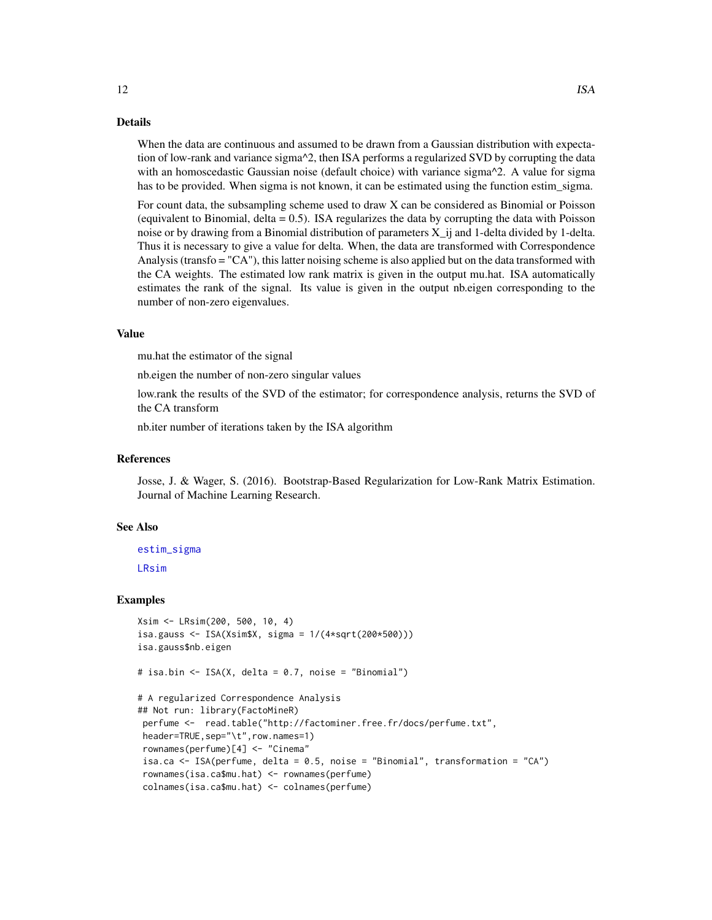#### Details

When the data are continuous and assumed to be drawn from a Gaussian distribution with expectation of low-rank and variance sigma^2, then ISA performs a regularized SVD by corrupting the data with an homoscedastic Gaussian noise (default choice) with variance sigma^2. A value for sigma has to be provided. When sigma is not known, it can be estimated using the function estim\_sigma.

For count data, the subsampling scheme used to draw X can be considered as Binomial or Poisson (equivalent to Binomial, delta  $= 0.5$ ). ISA regularizes the data by corrupting the data with Poisson noise or by drawing from a Binomial distribution of parameters  $X_i$  ij and 1-delta divided by 1-delta. Thus it is necessary to give a value for delta. When, the data are transformed with Correspondence Analysis (transfo = "CA"), this latter noising scheme is also applied but on the data transformed with the CA weights. The estimated low rank matrix is given in the output mu.hat. ISA automatically estimates the rank of the signal. Its value is given in the output nb.eigen corresponding to the number of non-zero eigenvalues.

#### Value

mu.hat the estimator of the signal

nb.eigen the number of non-zero singular values

low.rank the results of the SVD of the estimator; for correspondence analysis, returns the SVD of the CA transform

nb.iter number of iterations taken by the ISA algorithm

# References

Josse, J. & Wager, S. (2016). Bootstrap-Based Regularization for Low-Rank Matrix Estimation. Journal of Machine Learning Research.

#### See Also

[estim\\_sigma](#page-5-1) [LRsim](#page-12-1)

#### Examples

```
Xsim <- LRsim(200, 500, 10, 4)
isa.gauss <- ISA(Xsim$X, sigma = 1/(4*sqrt(200*500)))isa.gauss$nb.eigen
# isa.bin <- ISA(X, delta = 0.7, noise = "Binomial")
# A regularized Correspondence Analysis
## Not run: library(FactoMineR)
perfume <- read.table("http://factominer.free.fr/docs/perfume.txt",
header=TRUE,sep="\t",row.names=1)
rownames(perfume)[4] <- "Cinema"
 isa.ca <- ISA(perfume, delta = 0.5, noise = "Binomial", transformation = "CA")
 rownames(isa.ca$mu.hat) <- rownames(perfume)
 colnames(isa.ca$mu.hat) <- colnames(perfume)
```
<span id="page-11-0"></span>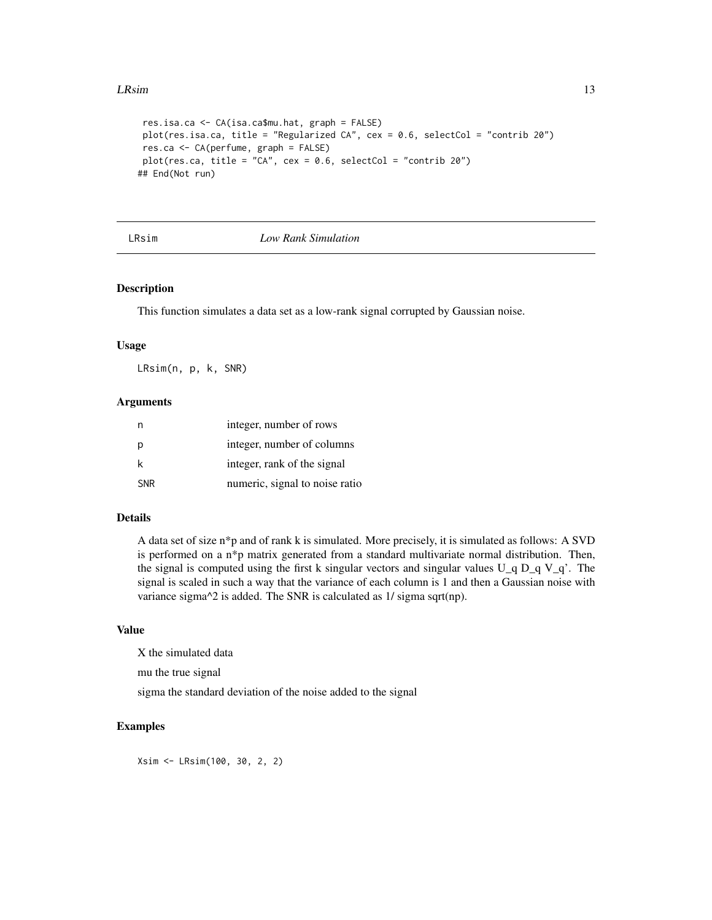#### <span id="page-12-0"></span>**LRsim** 13

```
res.isa.ca <- CA(isa.ca$mu.hat, graph = FALSE)
plot(res.isa.ca, title = "Regularized CA", cex = 0.6, selectCol = "contrib 20")
res.ca <- CA(perfume, graph = FALSE)
plot(res.ca, title = "CA", cex = 0.6, selectCol = "contrib 20")
## End(Not run)
```
# <span id="page-12-1"></span>LRsim *Low Rank Simulation*

# Description

This function simulates a data set as a low-rank signal corrupted by Gaussian noise.

#### Usage

LRsim(n, p, k, SNR)

# Arguments

|            | integer, number of rows        |
|------------|--------------------------------|
| p          | integer, number of columns     |
| k          | integer, rank of the signal    |
| <b>SNR</b> | numeric, signal to noise ratio |

#### Details

A data set of size n\*p and of rank k is simulated. More precisely, it is simulated as follows: A SVD is performed on a n\*p matrix generated from a standard multivariate normal distribution. Then, the signal is computed using the first k singular vectors and singular values  $U_q D_q V_q'$ . The signal is scaled in such a way that the variance of each column is 1 and then a Gaussian noise with variance sigma^2 is added. The SNR is calculated as 1/ sigma sqrt(np).

# Value

X the simulated data

mu the true signal

sigma the standard deviation of the noise added to the signal

# Examples

Xsim <- LRsim(100, 30, 2, 2)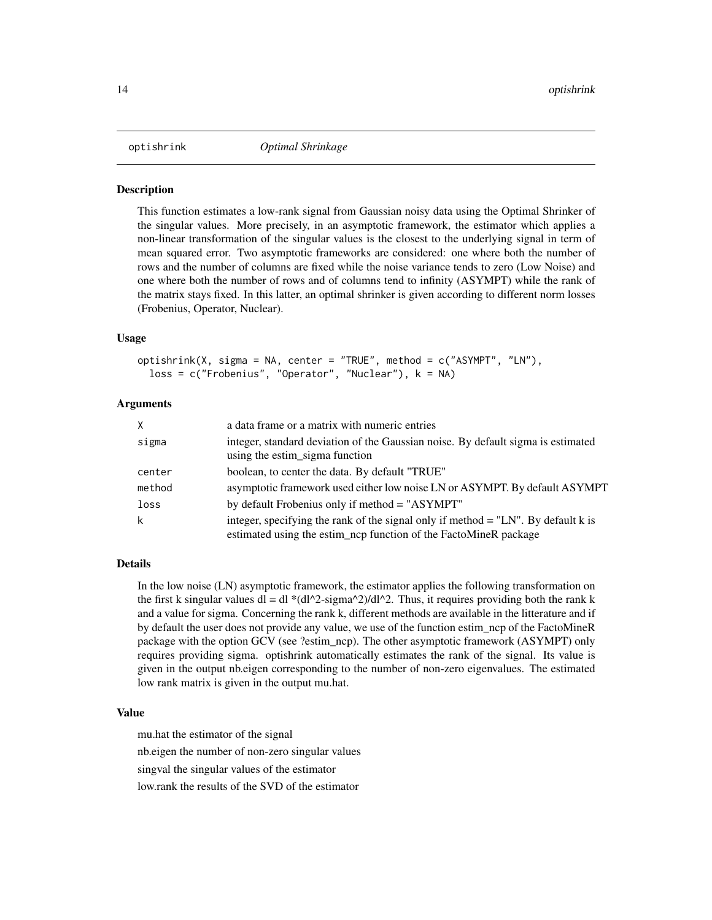<span id="page-13-0"></span>

#### **Description**

This function estimates a low-rank signal from Gaussian noisy data using the Optimal Shrinker of the singular values. More precisely, in an asymptotic framework, the estimator which applies a non-linear transformation of the singular values is the closest to the underlying signal in term of mean squared error. Two asymptotic frameworks are considered: one where both the number of rows and the number of columns are fixed while the noise variance tends to zero (Low Noise) and one where both the number of rows and of columns tend to infinity (ASYMPT) while the rank of the matrix stays fixed. In this latter, an optimal shrinker is given according to different norm losses (Frobenius, Operator, Nuclear).

#### Usage

```
optishrink(X, sigma = NA, center = "TRUE", method = c("ASYMPT", "LN"),loss = c("Frobenius", "Operator", "Nuclear"), k = NA)
```
# Arguments

| X.     | a data frame or a matrix with numeric entries                                                                                                           |
|--------|---------------------------------------------------------------------------------------------------------------------------------------------------------|
| sigma  | integer, standard deviation of the Gaussian noise. By default sigma is estimated<br>using the estim_sigma function                                      |
| center | boolean, to center the data. By default "TRUE"                                                                                                          |
| method | asymptotic framework used either low noise LN or ASYMPT. By default ASYMPT                                                                              |
| loss   | by default Frobenius only if method = "ASYMPT"                                                                                                          |
| k      | integer, specifying the rank of the signal only if method $=$ "LN". By default k is<br>estimated using the estim_ncp function of the FactoMineR package |

#### Details

In the low noise (LN) asymptotic framework, the estimator applies the following transformation on the first k singular values dl = dl \*(dl^2-sigma^2)/dl^2. Thus, it requires providing both the rank k and a value for sigma. Concerning the rank k, different methods are available in the litterature and if by default the user does not provide any value, we use of the function estim\_ncp of the FactoMineR package with the option GCV (see ?estim\_ncp). The other asymptotic framework (ASYMPT) only requires providing sigma. optishrink automatically estimates the rank of the signal. Its value is given in the output nb.eigen corresponding to the number of non-zero eigenvalues. The estimated low rank matrix is given in the output mu.hat.

### Value

mu.hat the estimator of the signal nb.eigen the number of non-zero singular values singval the singular values of the estimator low.rank the results of the SVD of the estimator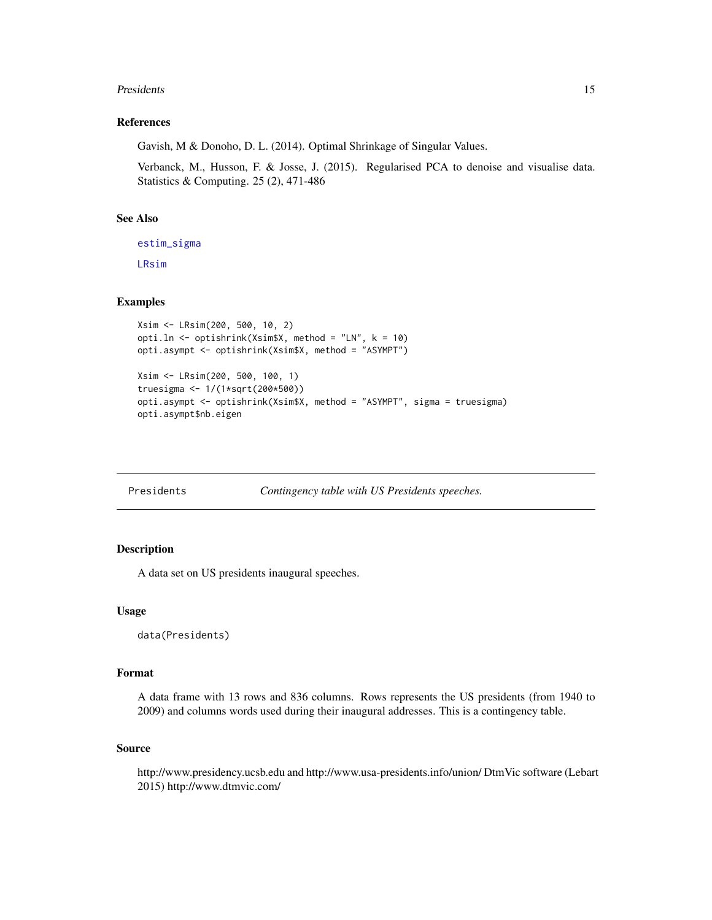#### <span id="page-14-0"></span>**Presidents** 15

# References

Gavish, M & Donoho, D. L. (2014). Optimal Shrinkage of Singular Values.

Verbanck, M., Husson, F. & Josse, J. (2015). Regularised PCA to denoise and visualise data. Statistics & Computing. 25 (2), 471-486

# See Also

[estim\\_sigma](#page-5-1)

[LRsim](#page-12-1)

# Examples

```
Xsim <- LRsim(200, 500, 10, 2)
opti.ln <- optishrink(Xsim$X, method = "LN", k = 10)
opti.asympt <- optishrink(Xsim$X, method = "ASYMPT")
Xsim <- LRsim(200, 500, 100, 1)
truesigma <- 1/(1*sqrt(200*500))
opti.asympt <- optishrink(Xsim$X, method = "ASYMPT", sigma = truesigma)
opti.asympt$nb.eigen
```
Presidents *Contingency table with US Presidents speeches.*

# Description

A data set on US presidents inaugural speeches.

#### Usage

```
data(Presidents)
```
# Format

A data frame with 13 rows and 836 columns. Rows represents the US presidents (from 1940 to 2009) and columns words used during their inaugural addresses. This is a contingency table.

#### Source

http://www.presidency.ucsb.edu and http://www.usa-presidents.info/union/ DtmVic software (Lebart 2015) http://www.dtmvic.com/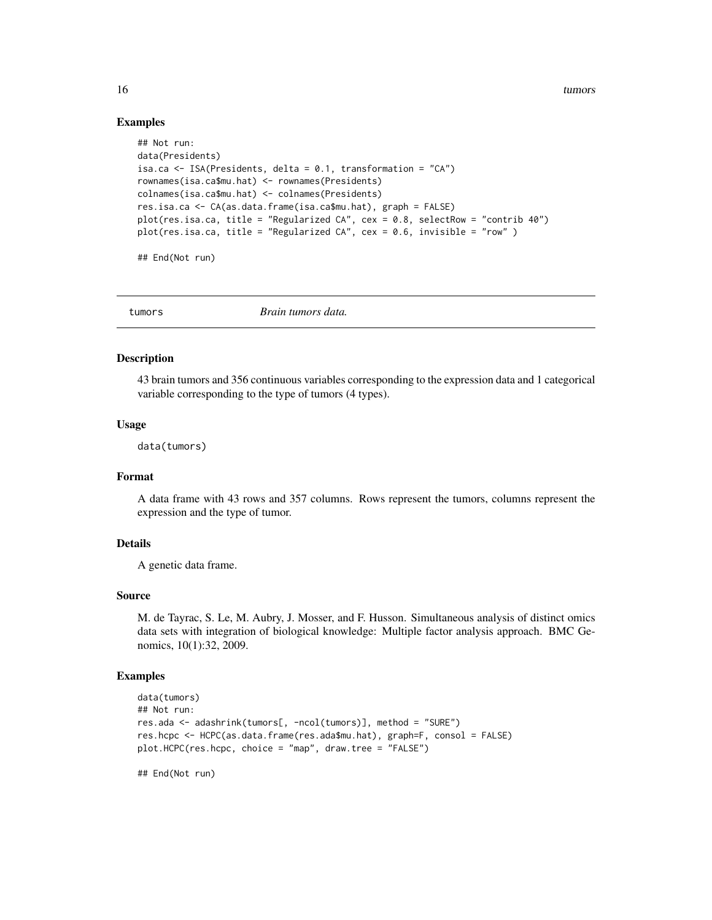16 tumors and tumors and tumors and tumors and tumors and tumors and tumors and tumors and tumors and tumors and tumors and tumors and tumors and tumors and tumors and tumors and tumors and tumors and tumors and tumors and

## Examples

```
## Not run:
data(Presidents)
isa.ca <- ISA(Presidents, delta = 0.1, transformation = "CA")
rownames(isa.ca$mu.hat) <- rownames(Presidents)
colnames(isa.ca$mu.hat) <- colnames(Presidents)
res.isa.ca <- CA(as.data.frame(isa.ca$mu.hat), graph = FALSE)
plot(res.isa.ca, title = "Regularized CA", cex = 0.8, selectRow = "contrib 40")
plot(res.isa.ca, title = "Regularized CA", cex = 0.6, invisible = "row" )
```
## End(Not run)

tumors *Brain tumors data.*

#### Description

43 brain tumors and 356 continuous variables corresponding to the expression data and 1 categorical variable corresponding to the type of tumors (4 types).

#### Usage

data(tumors)

#### Format

A data frame with 43 rows and 357 columns. Rows represent the tumors, columns represent the expression and the type of tumor.

# Details

A genetic data frame.

# Source

M. de Tayrac, S. Le, M. Aubry, J. Mosser, and F. Husson. Simultaneous analysis of distinct omics data sets with integration of biological knowledge: Multiple factor analysis approach. BMC Genomics, 10(1):32, 2009.

#### Examples

```
data(tumors)
## Not run:
res.ada <- adashrink(tumors[, -ncol(tumors)], method = "SURE")
res.hcpc <- HCPC(as.data.frame(res.ada$mu.hat), graph=F, consol = FALSE)
plot.HCPC(res.hcpc, choice = "map", draw.tree = "FALSE")
```
## End(Not run)

<span id="page-15-0"></span>